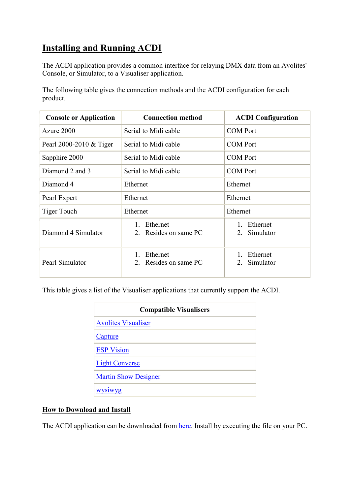## **Installing and Running ACDI**

The ACDI application provides a common interface for relaying DMX data from an Avolites' Console, or Simulator, to a Visualiser application.

The following table gives the connection methods and the ACDI configuration for each product.

| <b>Console or Application</b> | <b>Connection method</b>          | <b>ACDI Configuration</b>           |
|-------------------------------|-----------------------------------|-------------------------------------|
| Azure 2000                    | Serial to Midi cable              | <b>COM Port</b>                     |
| Pearl 2000-2010 & Tiger       | Serial to Midi cable              | <b>COM Port</b>                     |
| Sapphire 2000                 | Serial to Midi cable              | <b>COM Port</b>                     |
| Diamond 2 and 3               | Serial to Midi cable              | <b>COM</b> Port                     |
| Diamond 4                     | Ethernet                          | Ethernet                            |
| Pearl Expert                  | Ethernet                          | Ethernet                            |
| <b>Tiger Touch</b>            | Ethernet                          | Ethernet                            |
| Diamond 4 Simulator           | Ethernet<br>2. Resides on same PC | Ethernet<br>$1_{-}$<br>2. Simulator |
| Pearl Simulator               | Ethernet<br>2. Resides on same PC | Ethernet<br>Simulator               |

This table gives a list of the Visualiser applications that currently support the ACDI.

| <b>Compatible Visualisers</b> |
|-------------------------------|
| <b>Avolites Visualiser</b>    |
| Capture                       |
| <b>ESP Vision</b>             |
| <b>Light Converse</b>         |
| <b>Martin Show Designer</b>   |
| <b>WVS1WVg</b>                |

## **How to Download and Install**

The ACDI application can be downloaded from here. Install by executing the file on your PC.